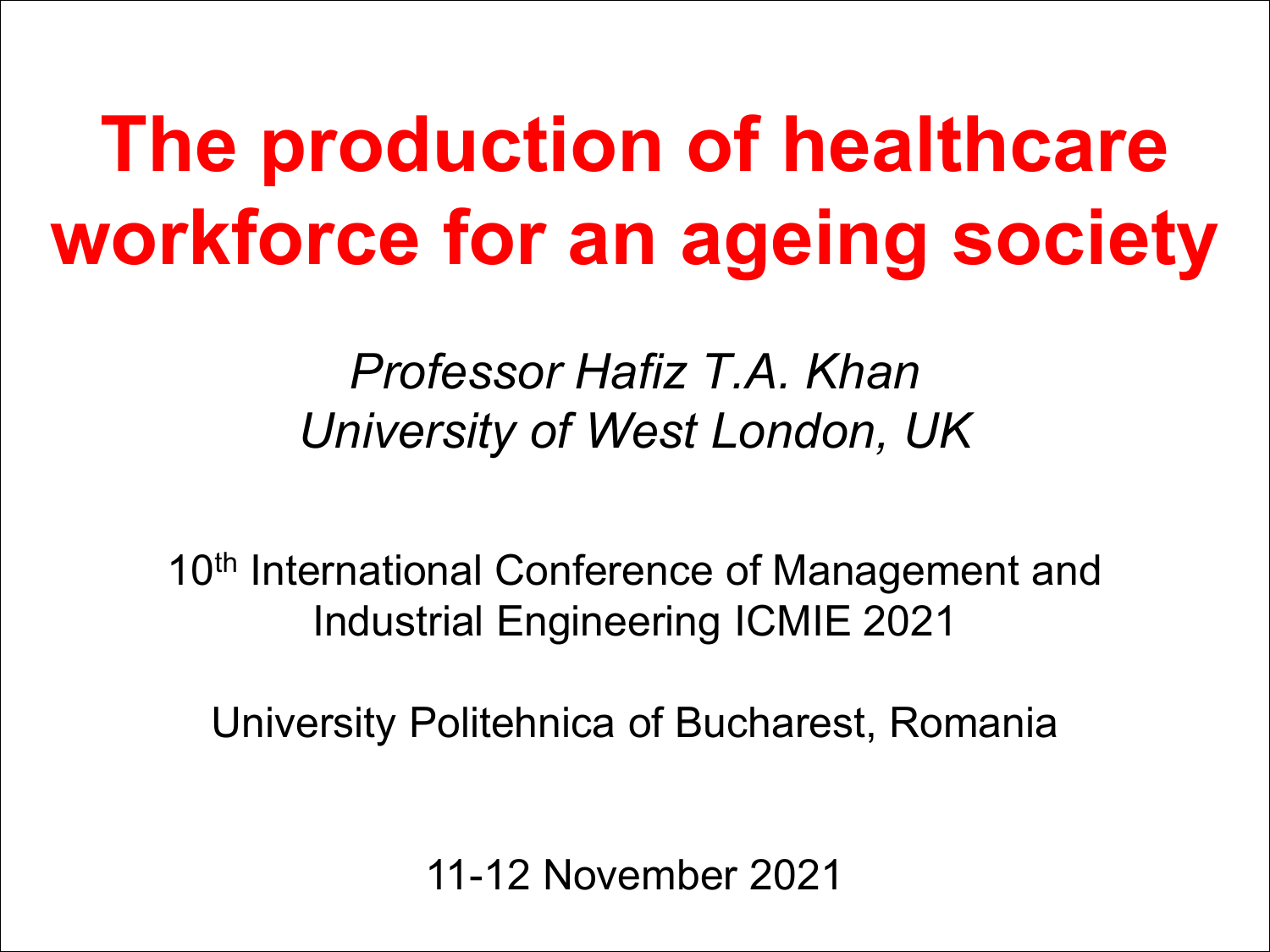# **The production of healthcare workforce for an ageing society**

#### *Professor Hafiz T.A. Khan University of West London, UK*

10<sup>th</sup> International Conference of Management and Industrial Engineering ICMIE 2021

University Politehnica of Bucharest, Romania

11-12 November 2021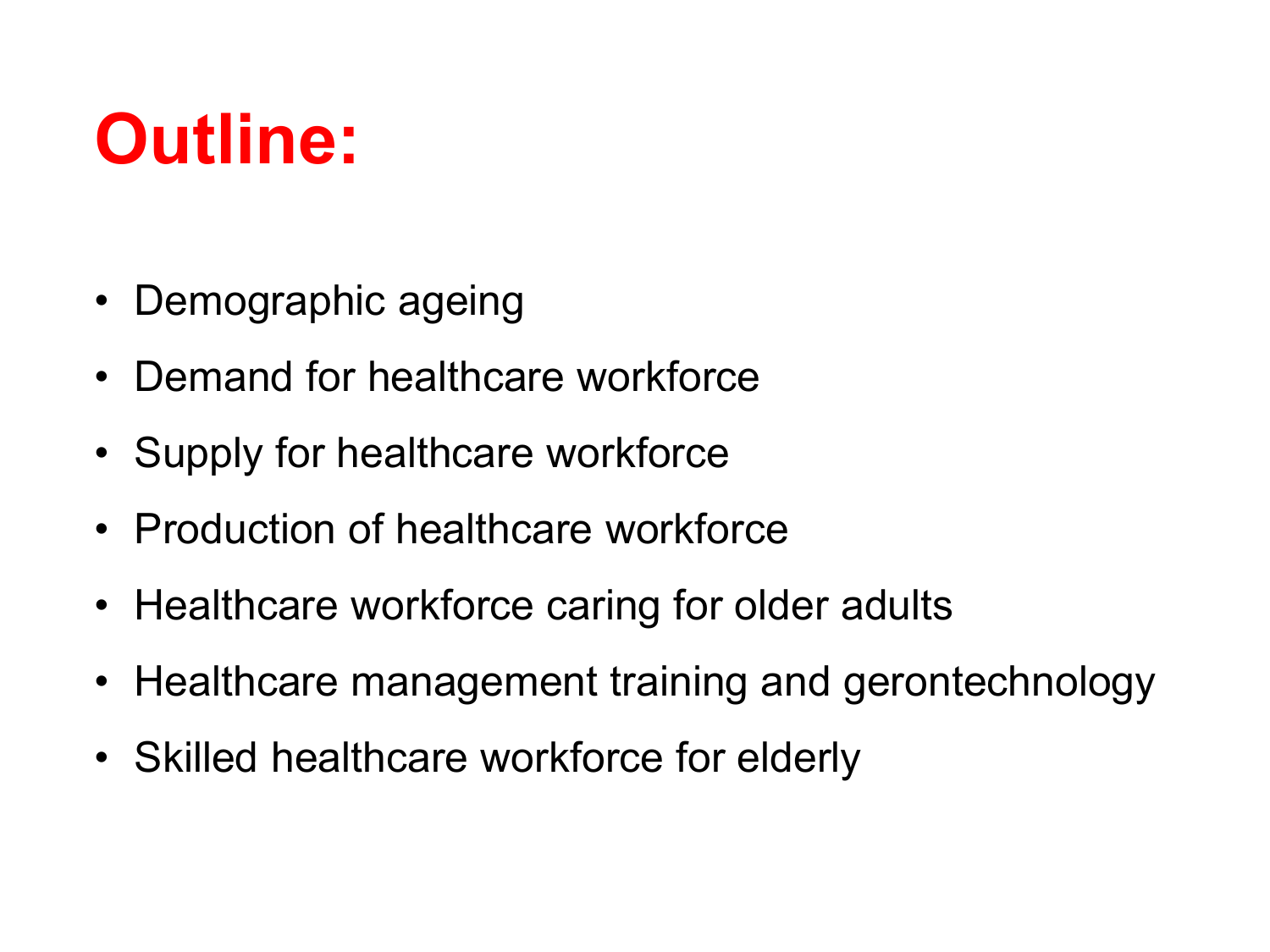## **Outline:**

- Demographic ageing
- Demand for healthcare workforce
- Supply for healthcare workforce
- Production of healthcare workforce
- Healthcare workforce caring for older adults
- Healthcare management training and gerontechnology
- Skilled healthcare workforce for elderly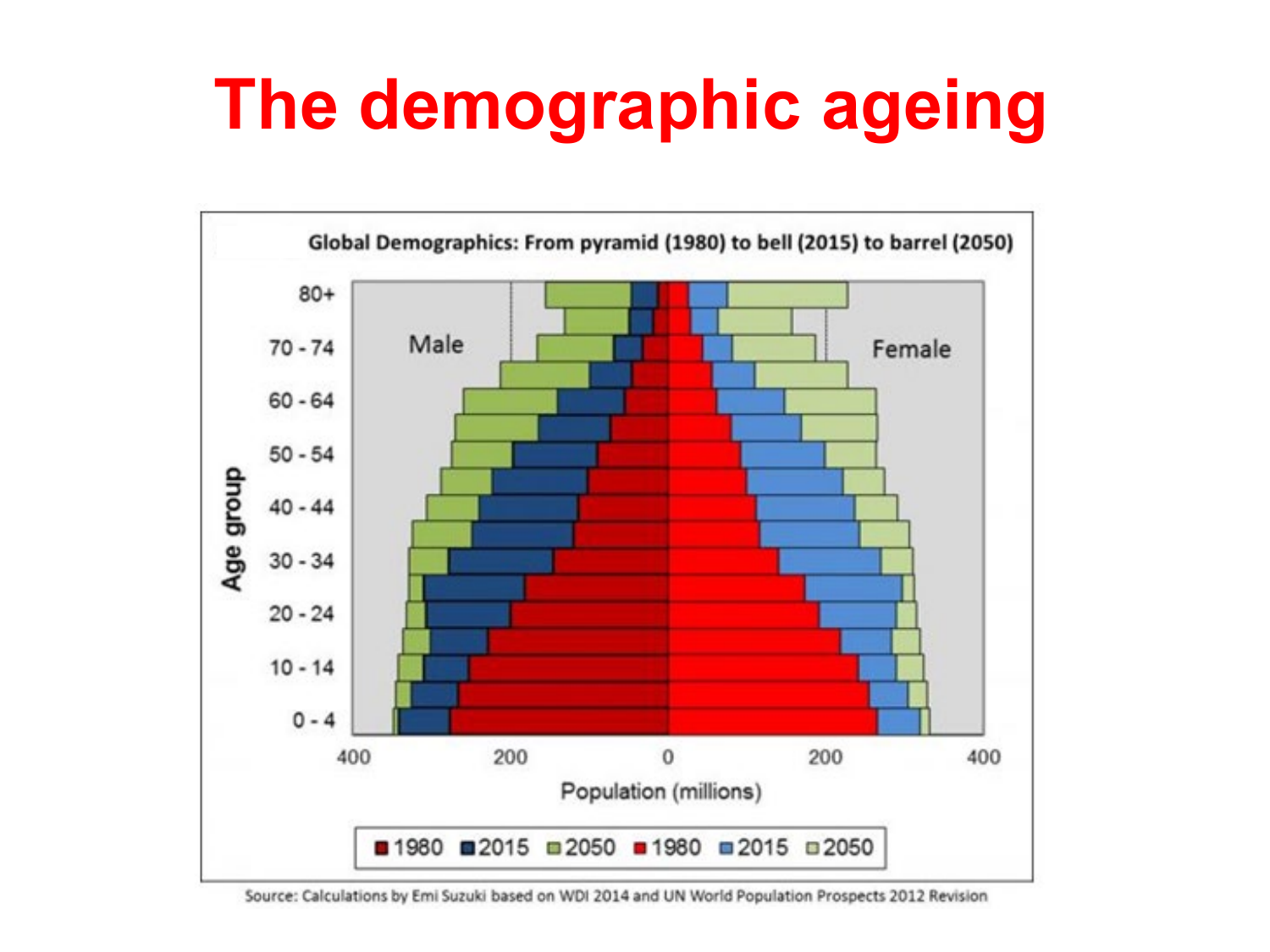# **The demographic ageing**



Source: Calculations by Emi Suzuki based on WDI 2014 and UN World Population Prospects 2012 Revision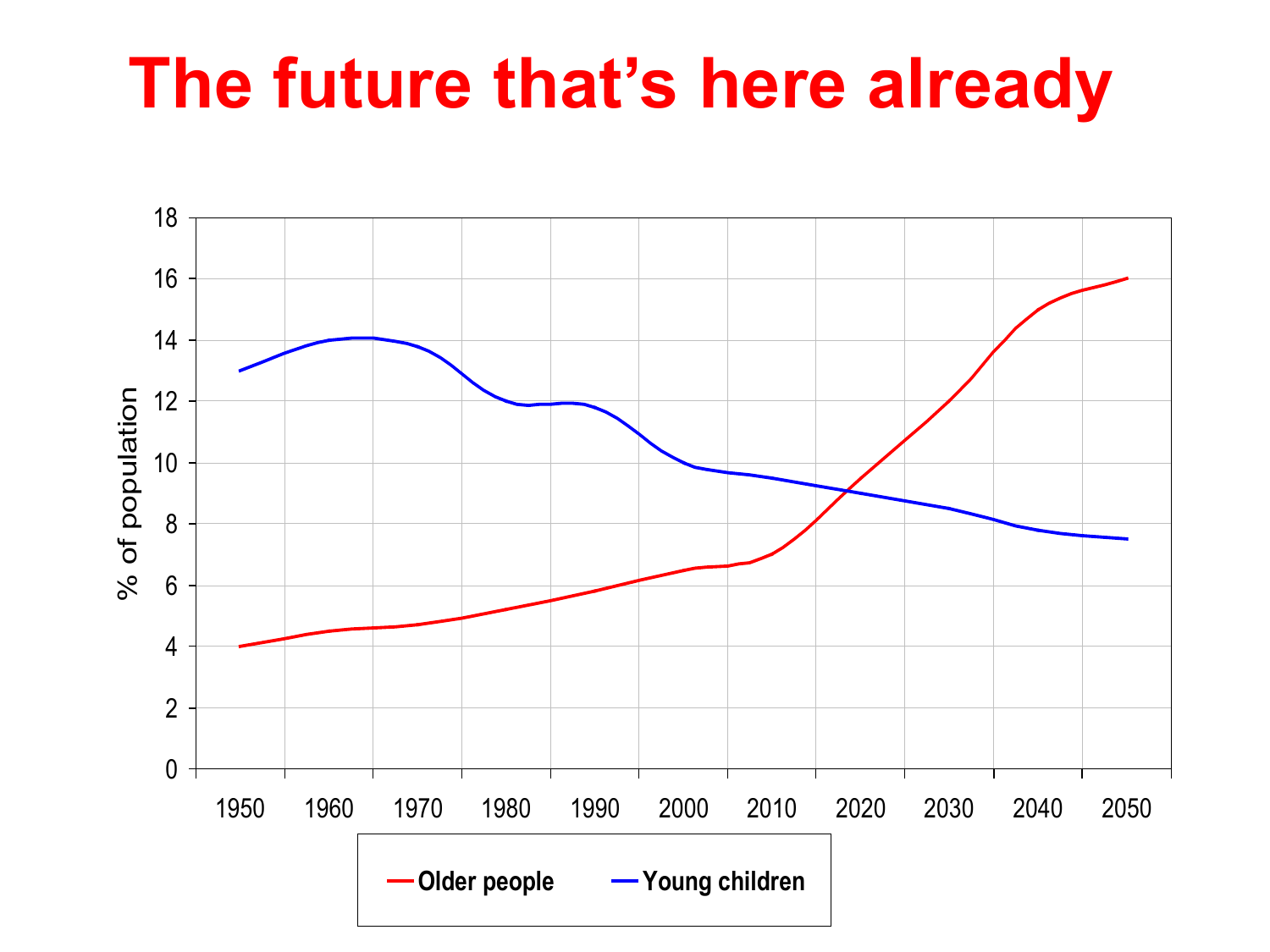## **The future that's here already**

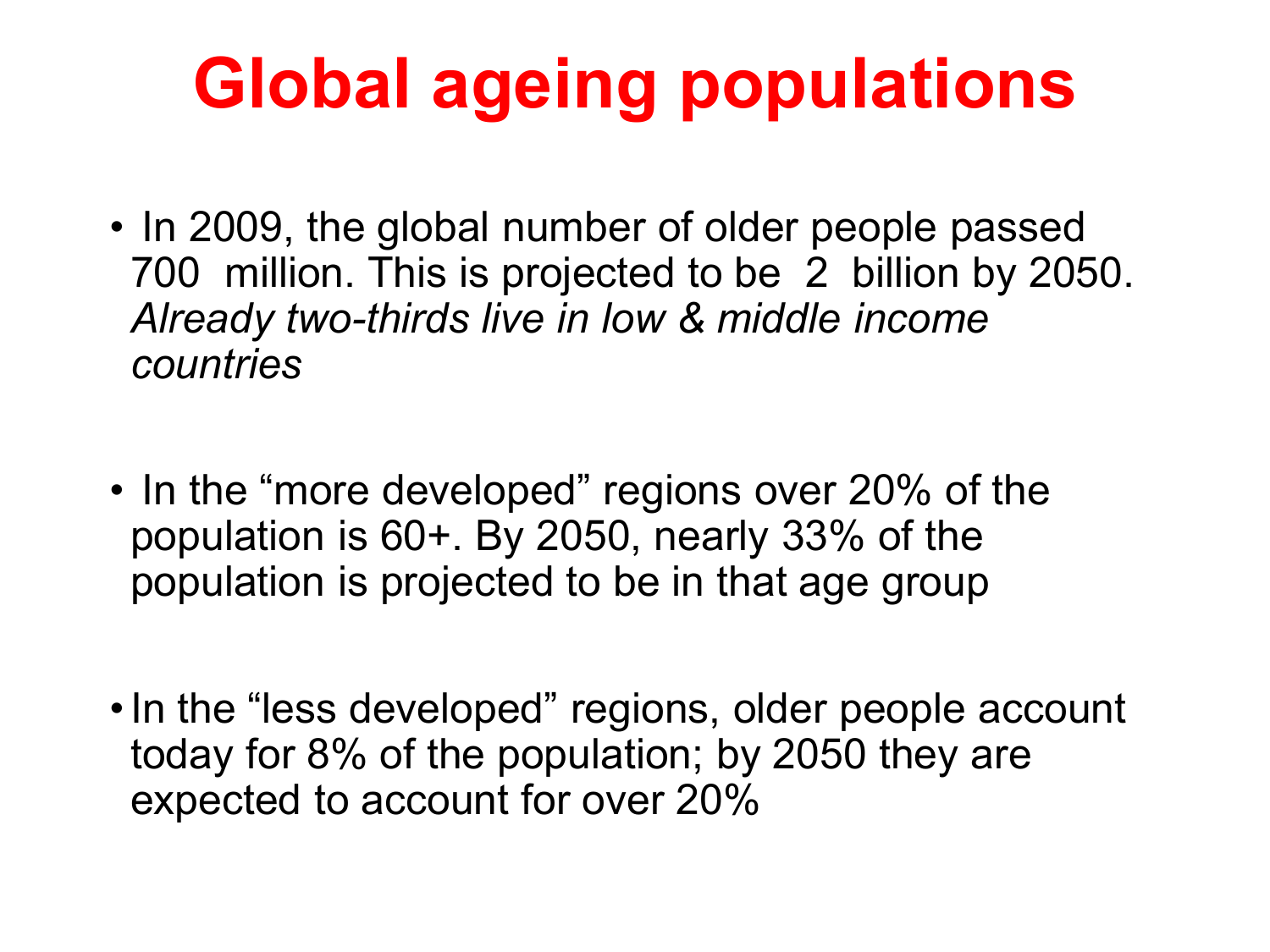# **Global ageing populations**

- In 2009, the global number of older people passed 700 million. This is projected to be 2 billion by 2050. *Already two-thirds live in low & middle income countries*
- In the "more developed" regions over 20% of the population is 60+. By 2050, nearly 33% of the population is projected to be in that age group
- •In the "less developed" regions, older people account today for 8% of the population; by 2050 they are expected to account for over 20%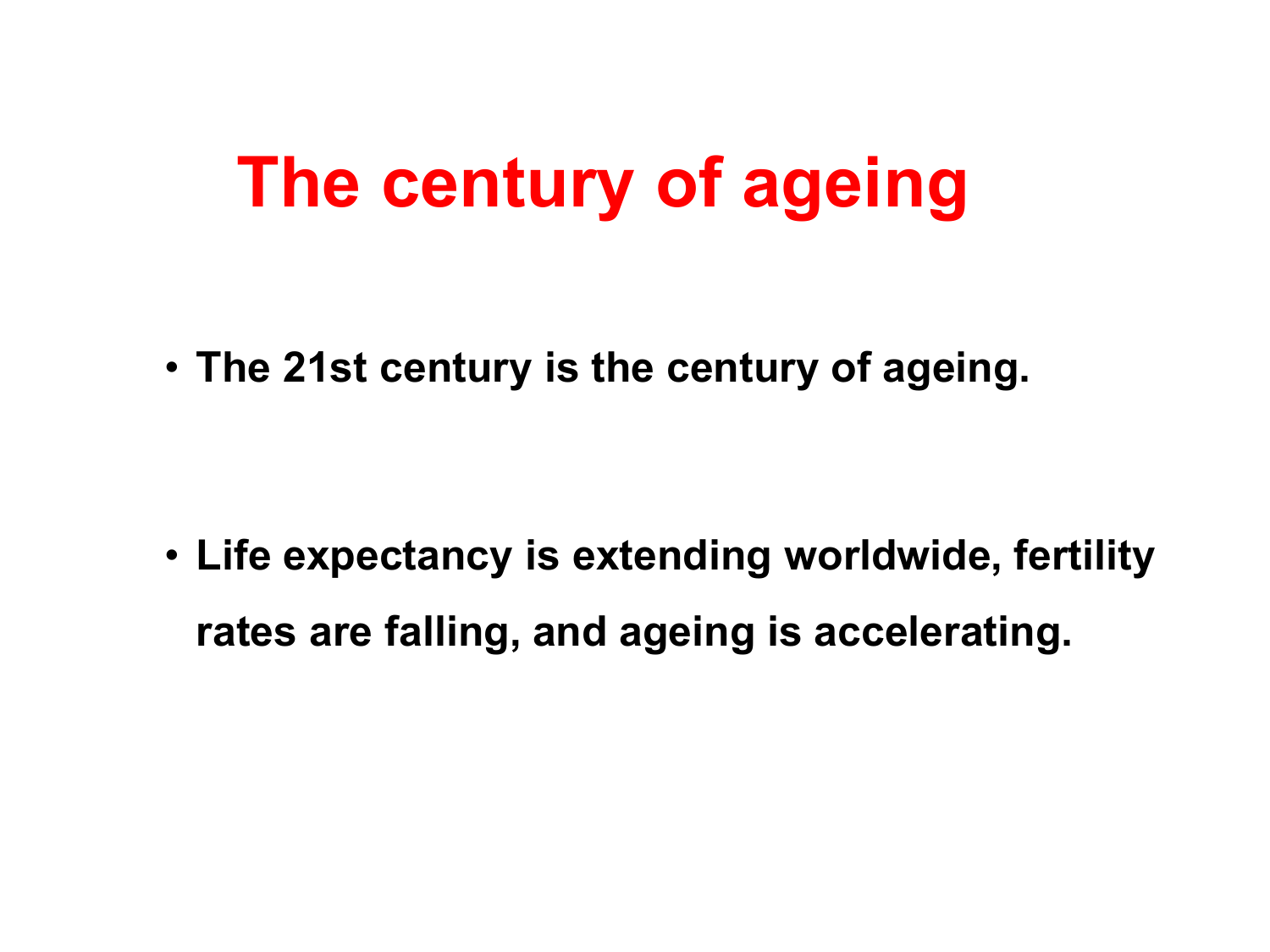## **The century of ageing**

• **The 21st century is the century of ageing.** 

• **Life expectancy is extending worldwide, fertility rates are falling, and ageing is accelerating.**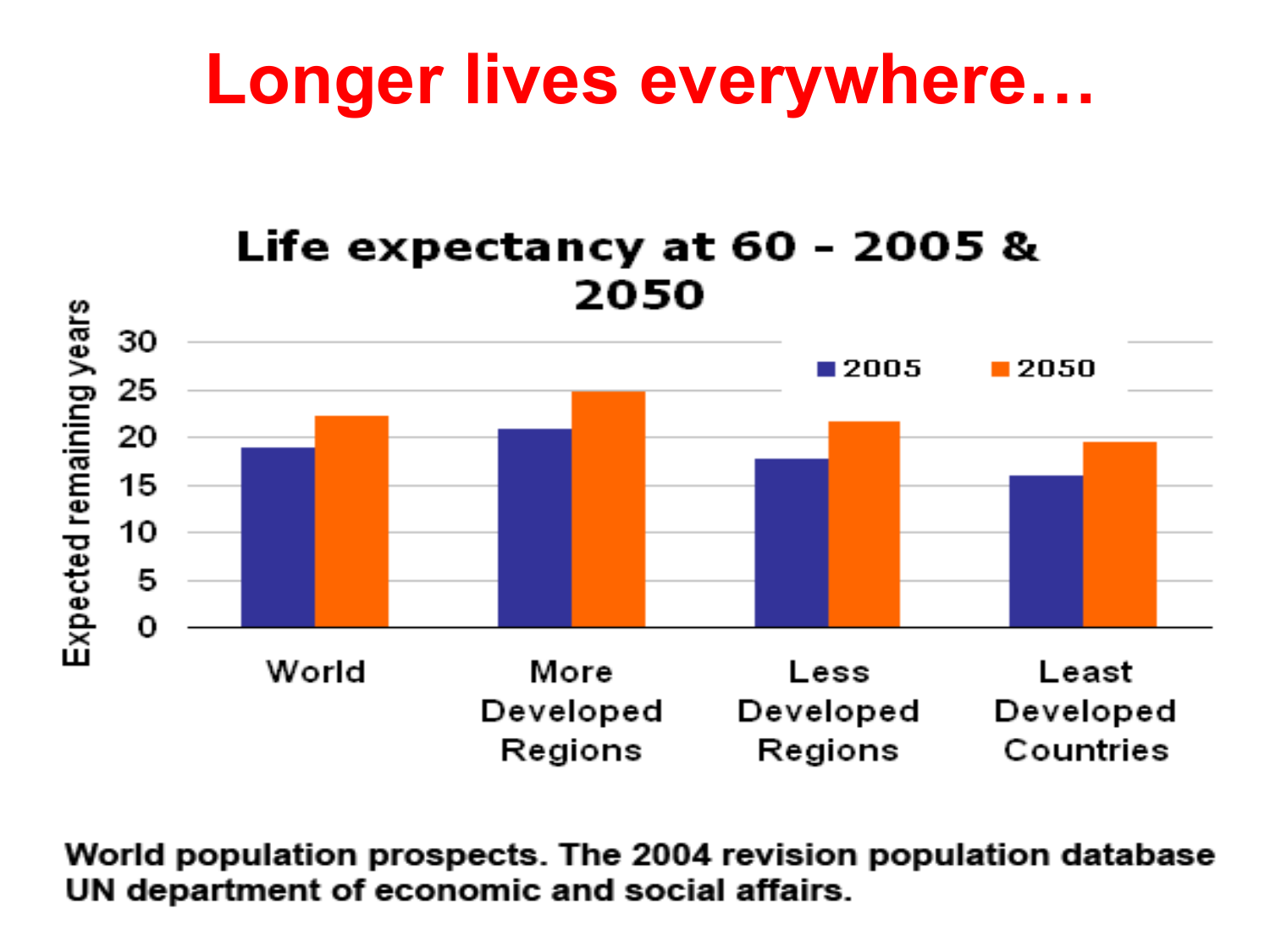#### **Longer lives everywhere…**



World population prospects. The 2004 revision population database UN department of economic and social affairs.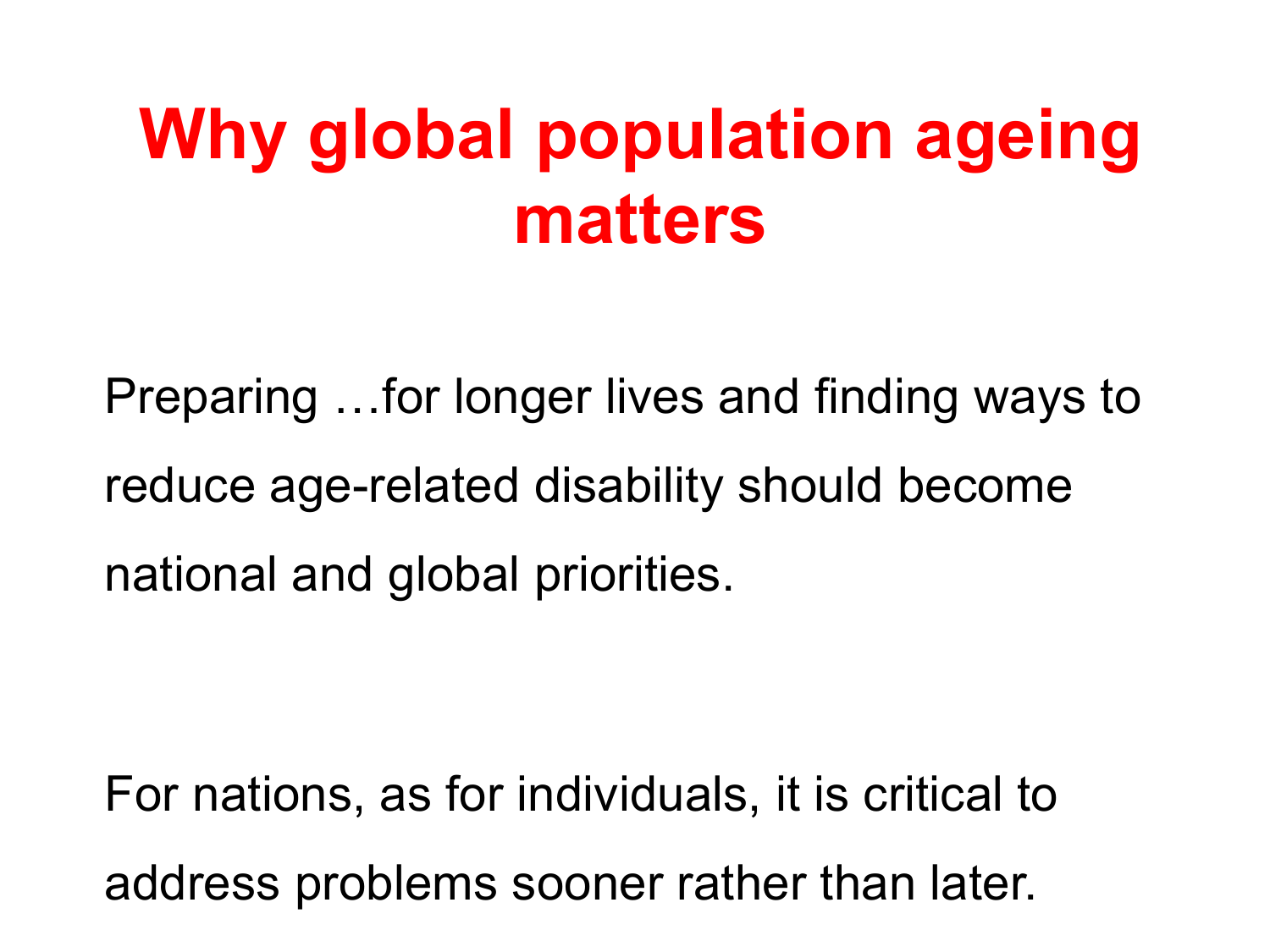## **Why global population ageing matters**

Preparing …for longer lives and finding ways to reduce age-related disability should become national and global priorities.

For nations, as for individuals, it is critical to address problems sooner rather than later.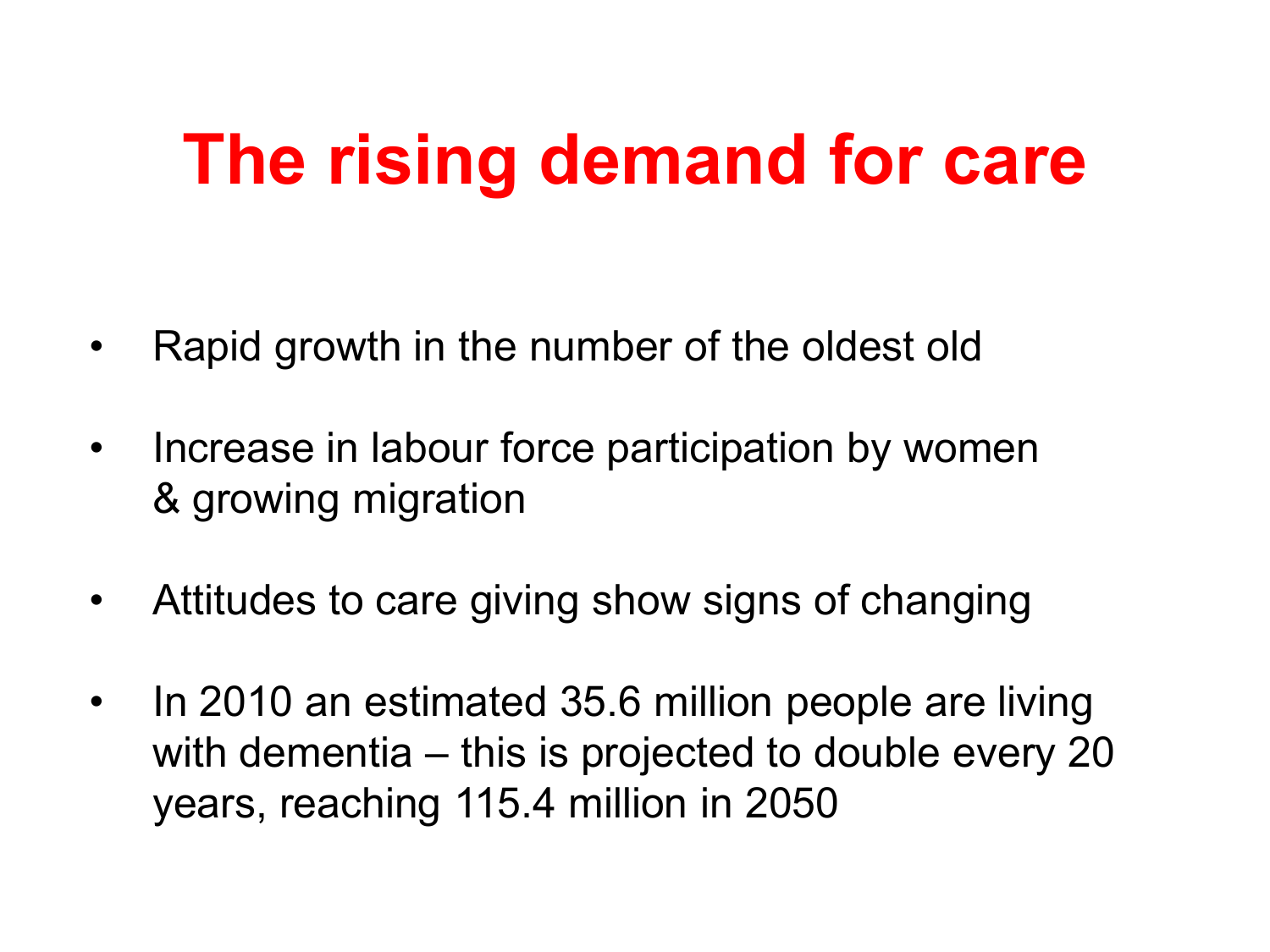## **The rising demand for care**

- Rapid growth in the number of the oldest old
- Increase in labour force participation by women & growing migration
- Attitudes to care giving show signs of changing
- In 2010 an estimated 35.6 million people are living with dementia – this is projected to double every 20 years, reaching 115.4 million in 2050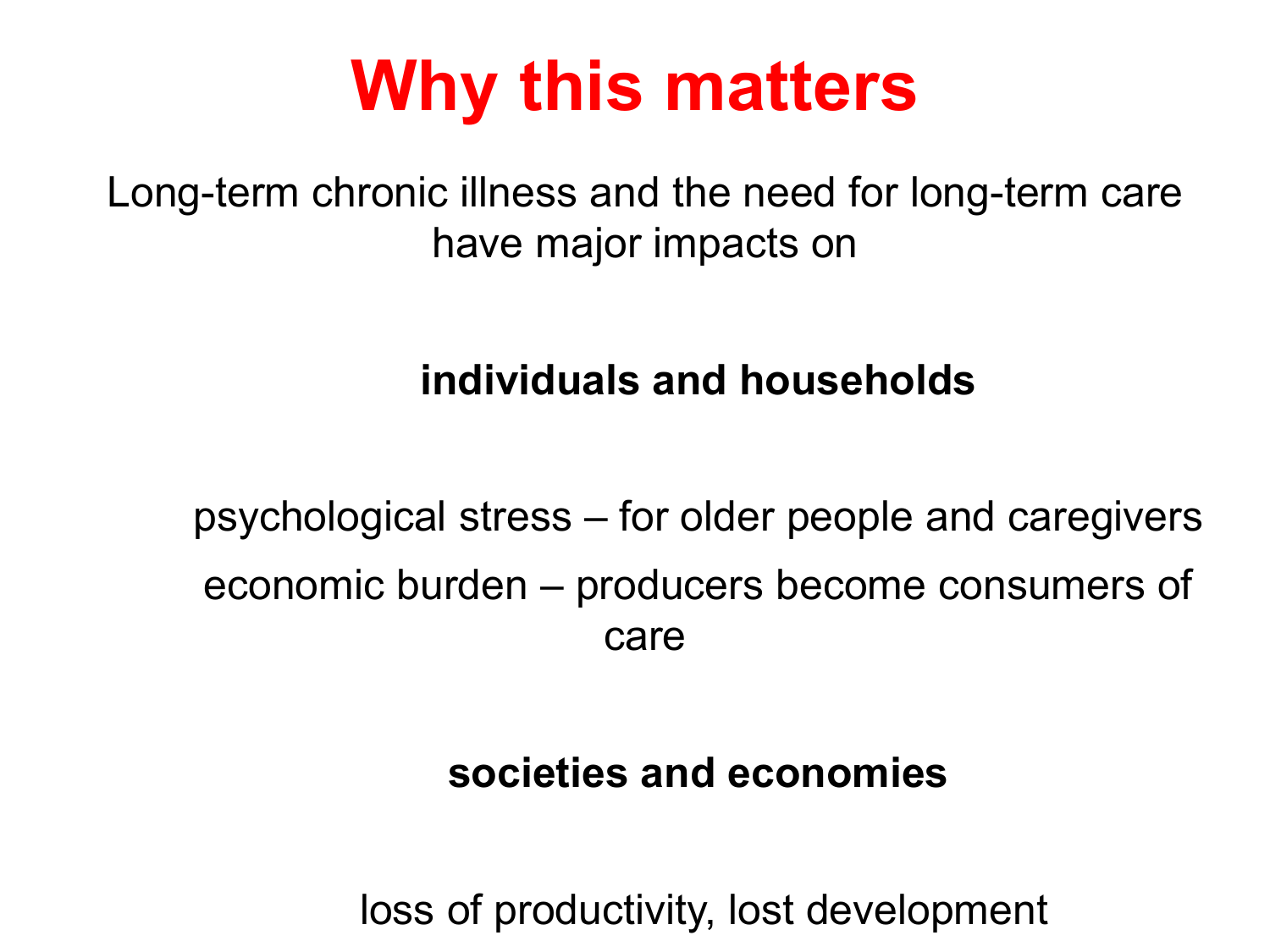## **Why this matters**

Long-term chronic illness and the need for long-term care have major impacts on

#### **individuals and households**

psychological stress – for older people and caregivers economic burden – producers become consumers of care

#### **societies and economies**

loss of productivity, lost development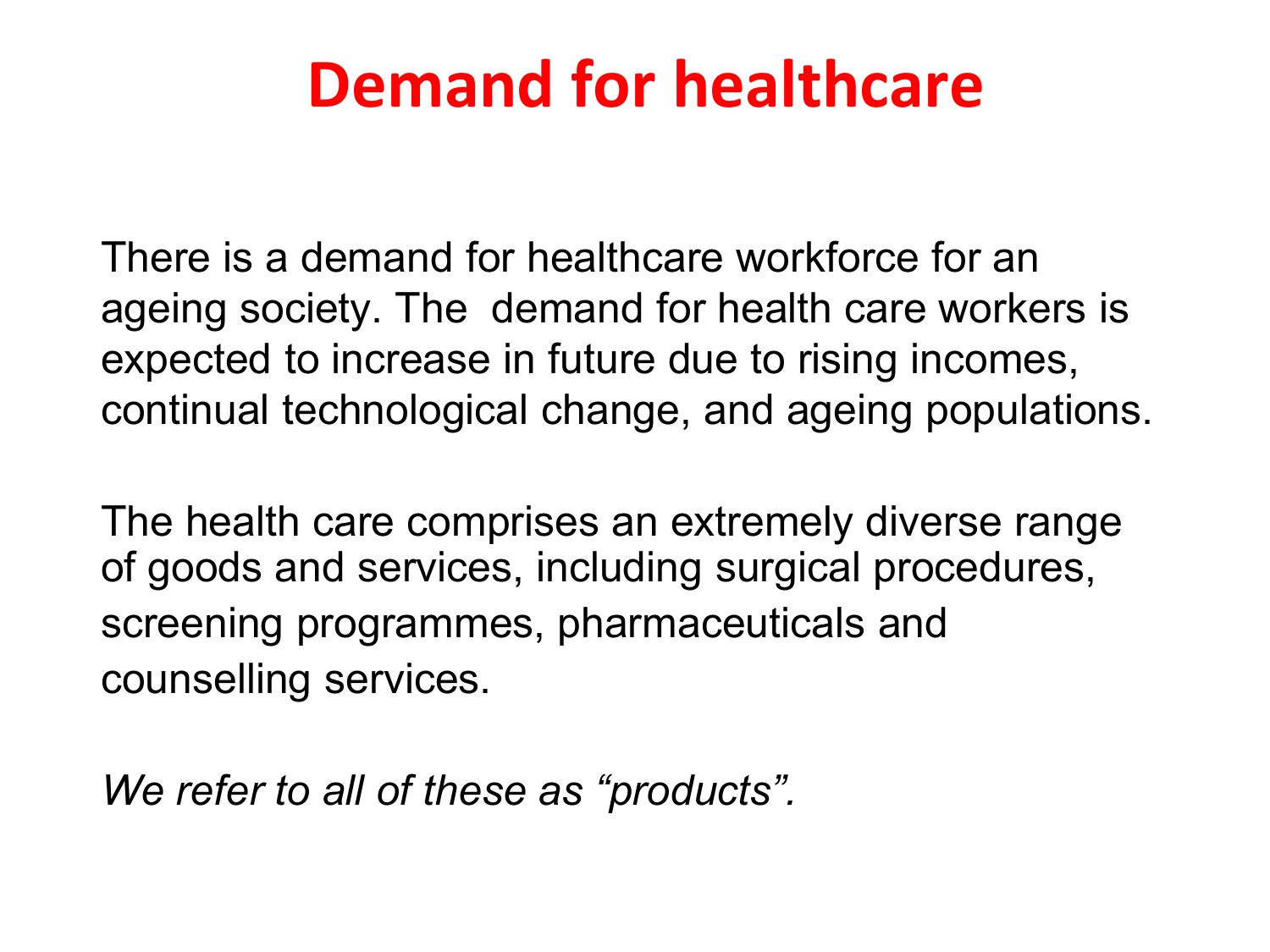#### **Demand for healthcare**

There is a demand for healthcare workforce for an ageing society. The demand for health care workers is expected to increase in future due to rising incomes, continual technological change, and ageing populations.

The health care comprises an extremely diverse range of goods and services, including surgical procedures, screening programmes, pharmaceuticals and counselling services.

*We refer to all of these as "products".*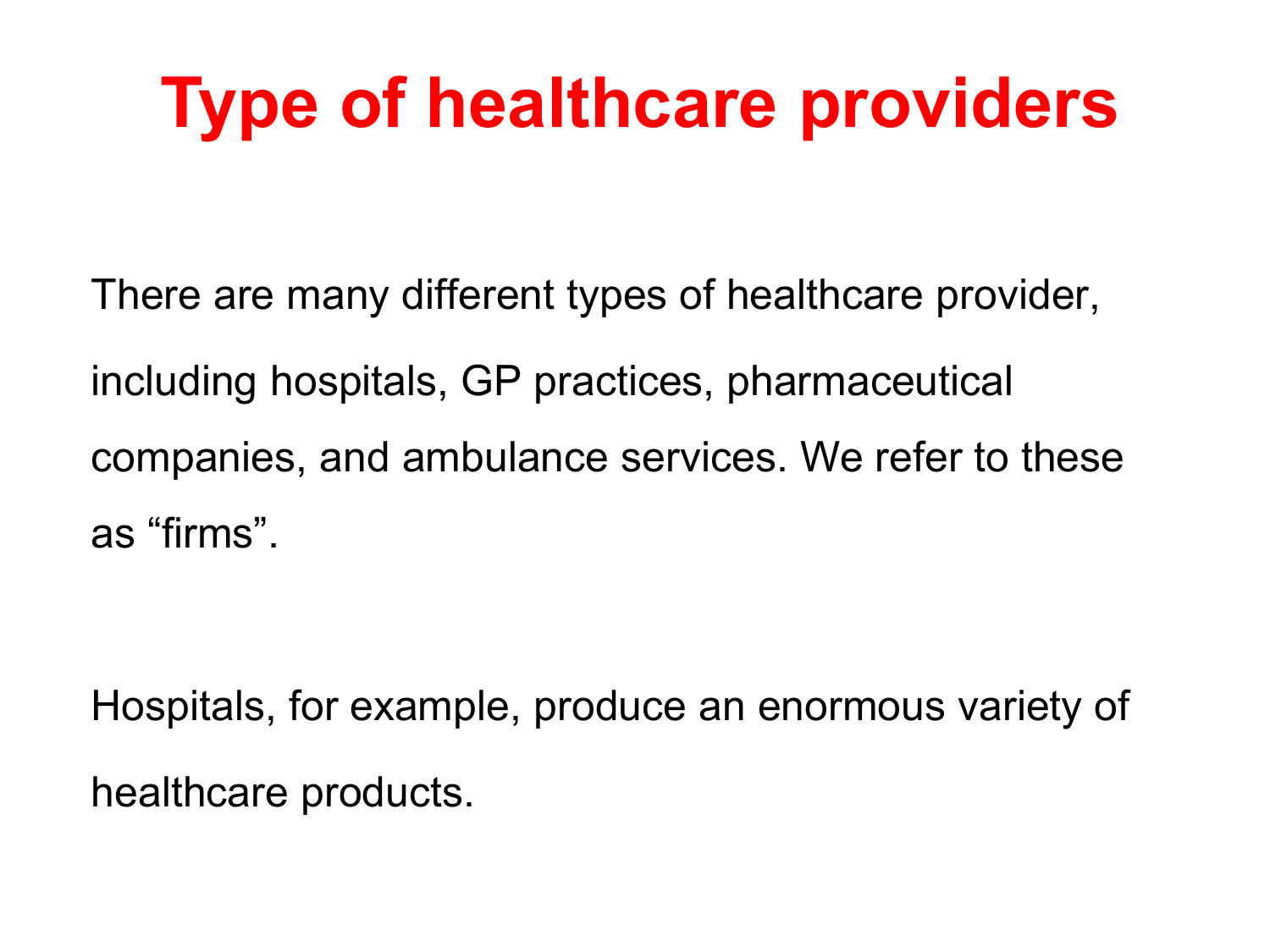# **Type of healthcare providers**

There are many different types of healthcare provider, including hospitals, GP practices, pharmaceutical companies, and ambulance services. We refer to these as "firms".

Hospitals, for example, produce an enormous variety of healthcare products.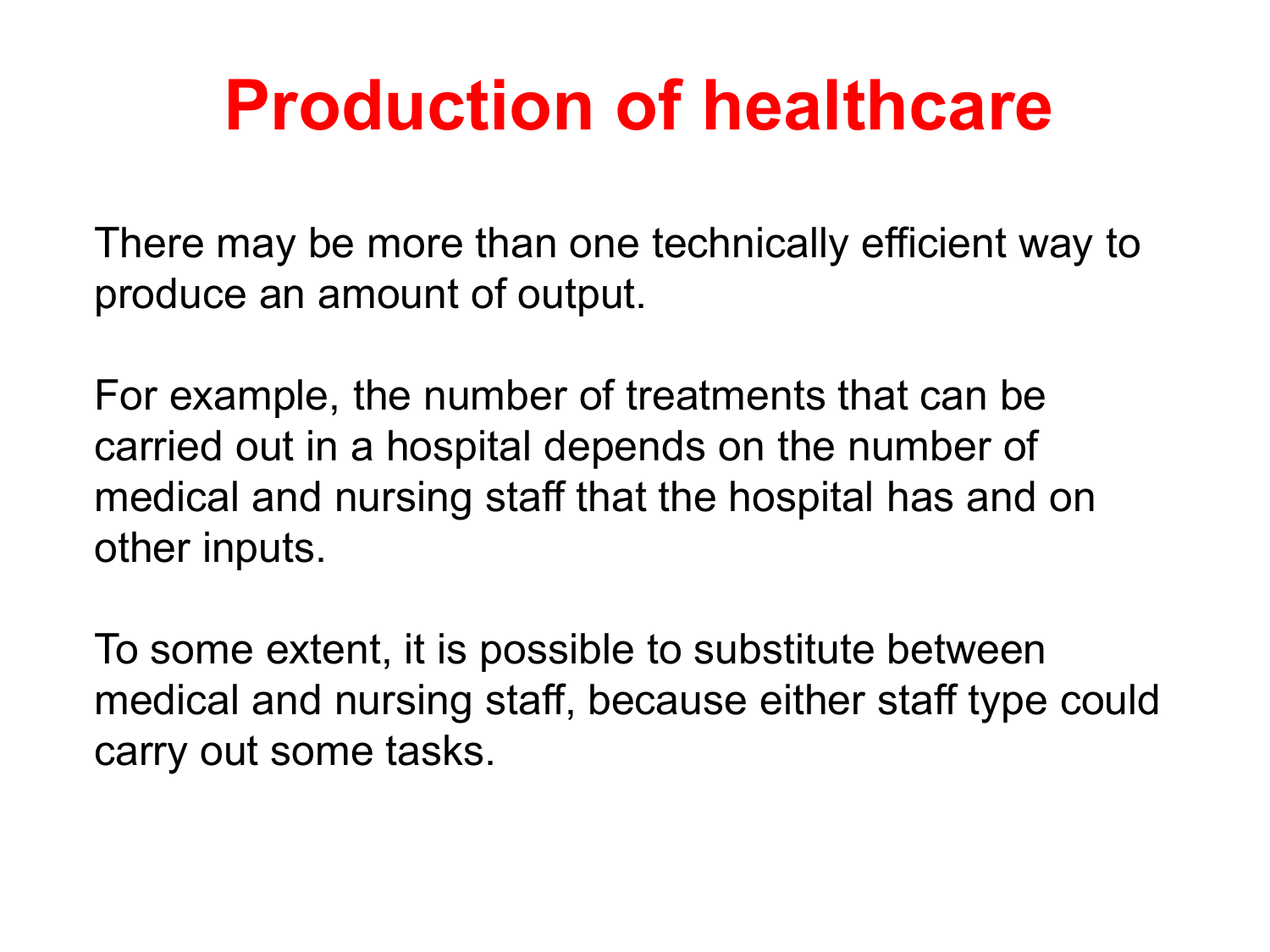## **Production of healthcare**

There may be more than one technically efficient way to produce an amount of output.

For example, the number of treatments that can be carried out in a hospital depends on the number of medical and nursing staff that the hospital has and on other inputs.

To some extent, it is possible to substitute between medical and nursing staff, because either staff type could carry out some tasks.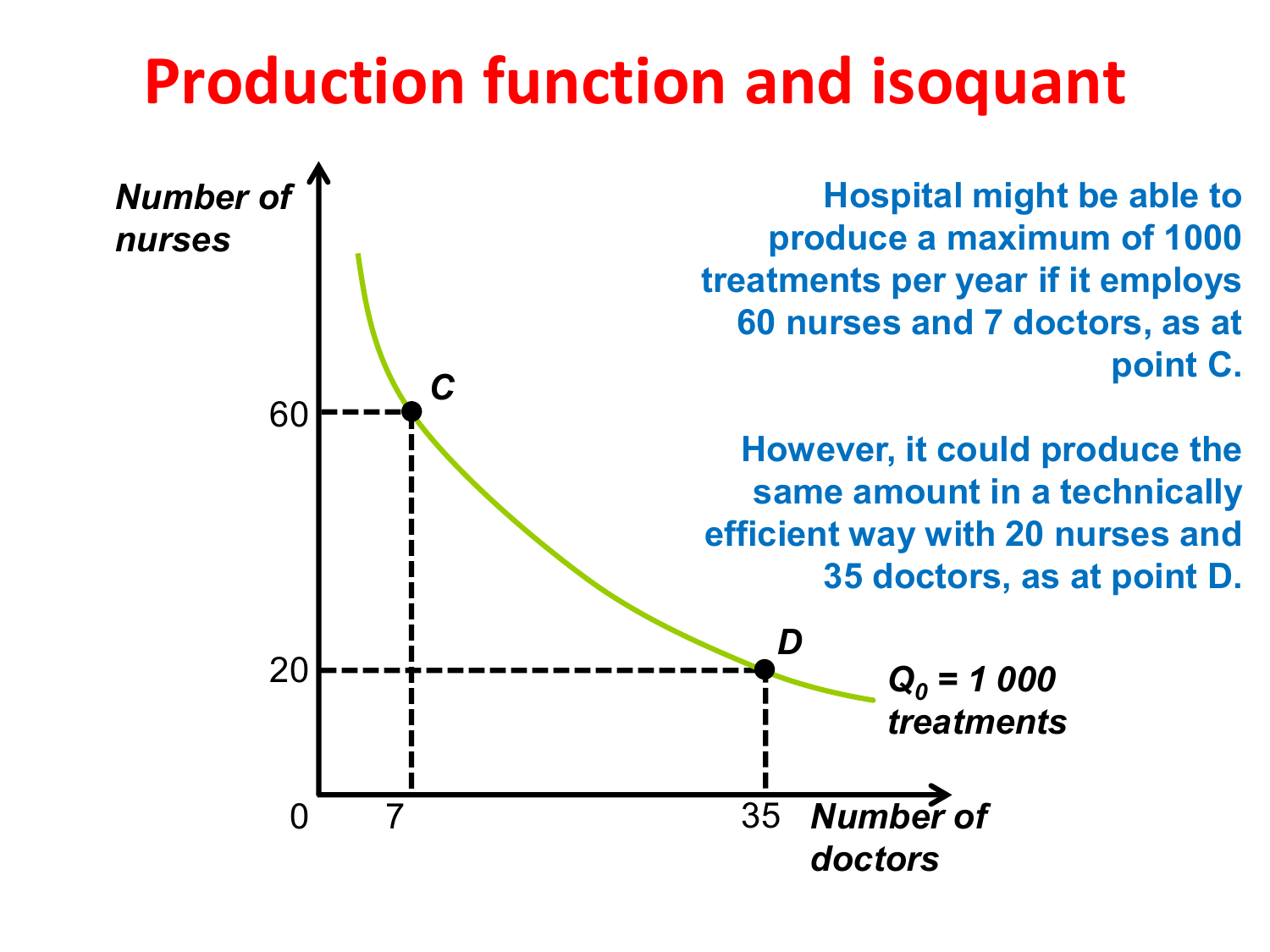#### **Production function and isoquant**

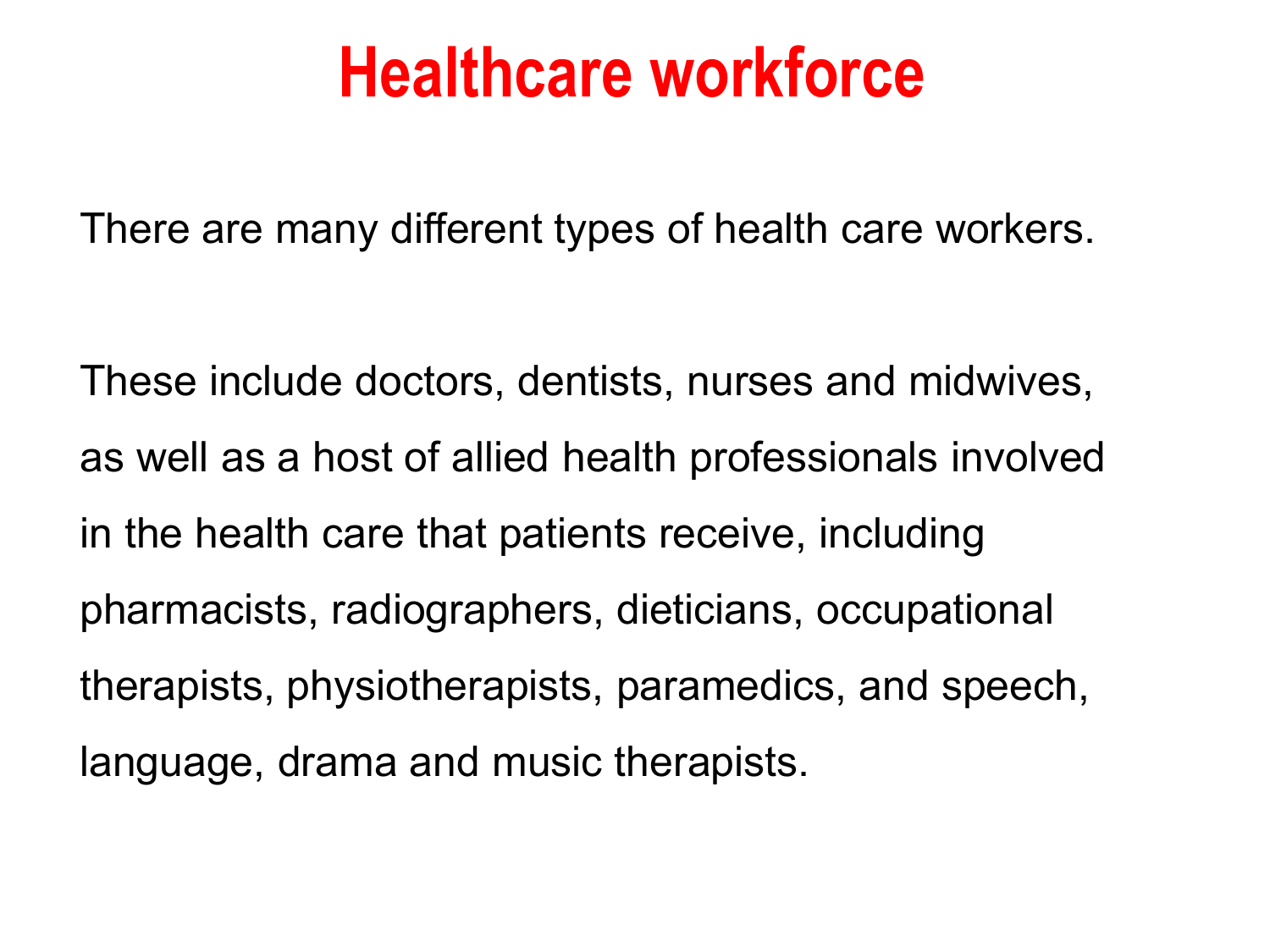#### **Healthcare workforce**

There are many different types of health care workers.

These include doctors, dentists, nurses and midwives, as well as a host of allied health professionals involved in the health care that patients receive, including pharmacists, radiographers, dieticians, occupational therapists, physiotherapists, paramedics, and speech, language, drama and music therapists.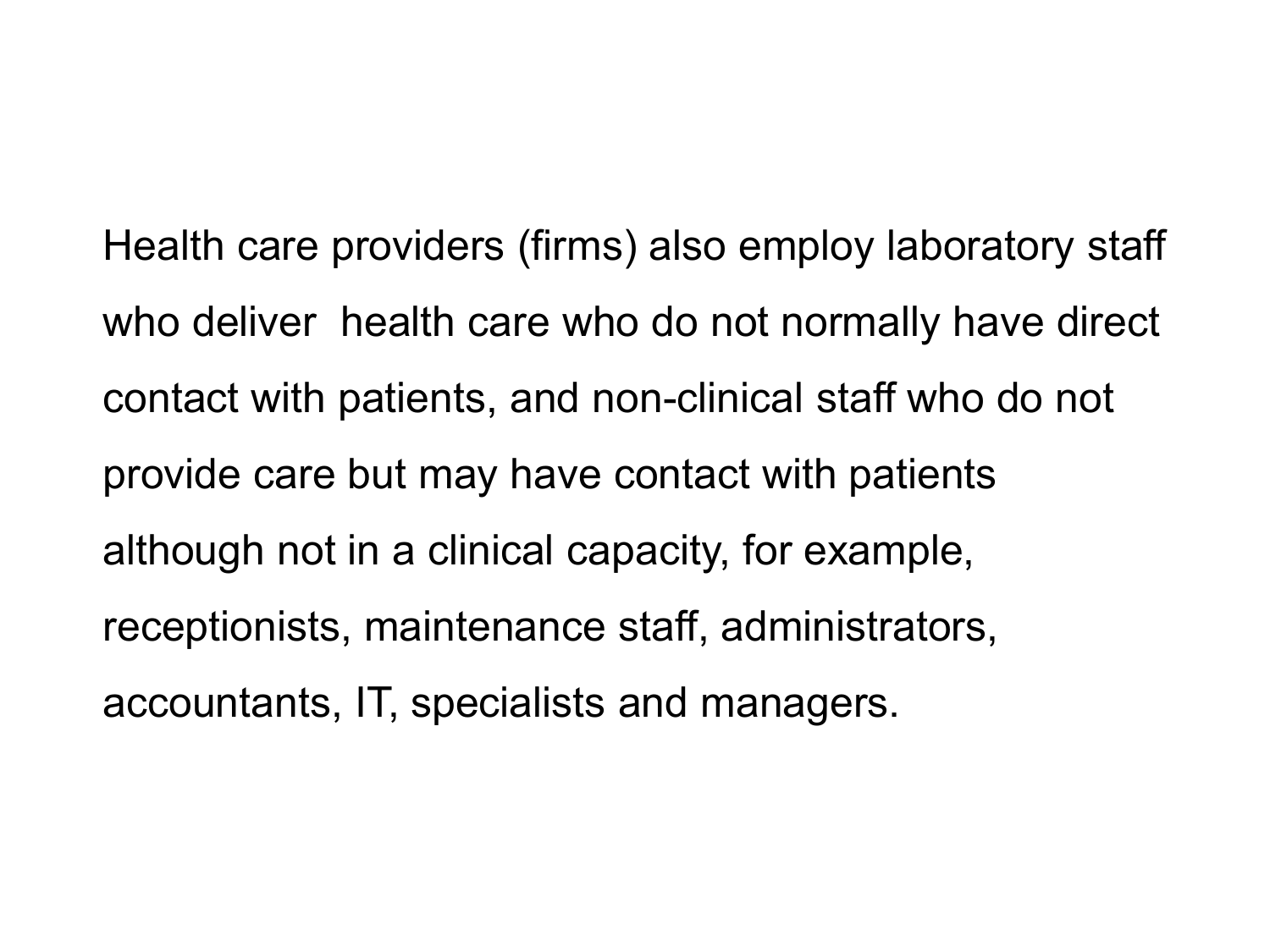Health care providers (firms) also employ laboratory staff who deliver health care who do not normally have direct contact with patients, and non-clinical staff who do not provide care but may have contact with patients although not in a clinical capacity, for example, receptionists, maintenance staff, administrators, accountants, IT, specialists and managers.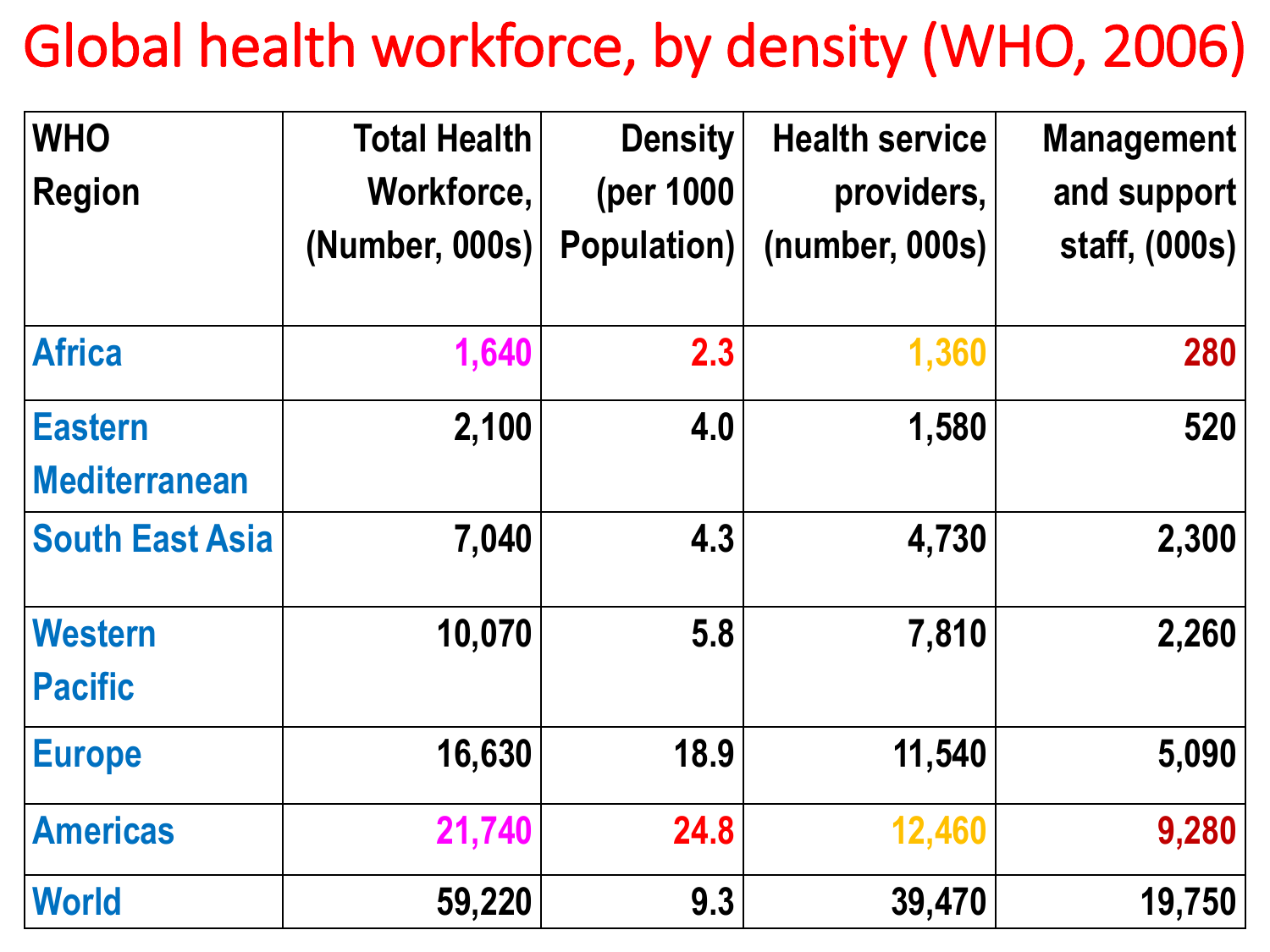#### Global health workforce, by density (WHO, 2006)

| <b>WHO</b>             | <b>Total Health</b> | <b>Density</b>     | <b>Health service</b> | <b>Management</b> |
|------------------------|---------------------|--------------------|-----------------------|-------------------|
| <b>Region</b>          | Workforce,          | (per 1000)         | providers,            | and support       |
|                        | (Number, 000s)      | <b>Population)</b> | (number, 000s)        | staff, (000s)     |
| <b>Africa</b>          | 1,640               | 2.3                | 1,360                 | <b>280</b>        |
| <b>Eastern</b>         | 2,100               | 4.0                | 1,580                 | 520               |
| <b>Mediterranean</b>   |                     |                    |                       |                   |
| <b>South East Asia</b> | 7,040               | 4.3                | 4,730                 | 2,300             |
| <b>Western</b>         | 10,070              | 5.8                | 7,810                 | 2,260             |
| <b>Pacific</b>         |                     |                    |                       |                   |
| <b>Europe</b>          | 16,630              | 18.9               | 11,540                | 5,090             |
| <b>Americas</b>        | 21,740              | 24.8               | 12,460                | 9,280             |
| <b>World</b>           | 59,220              | 9.3                | 39,470                | 19,750            |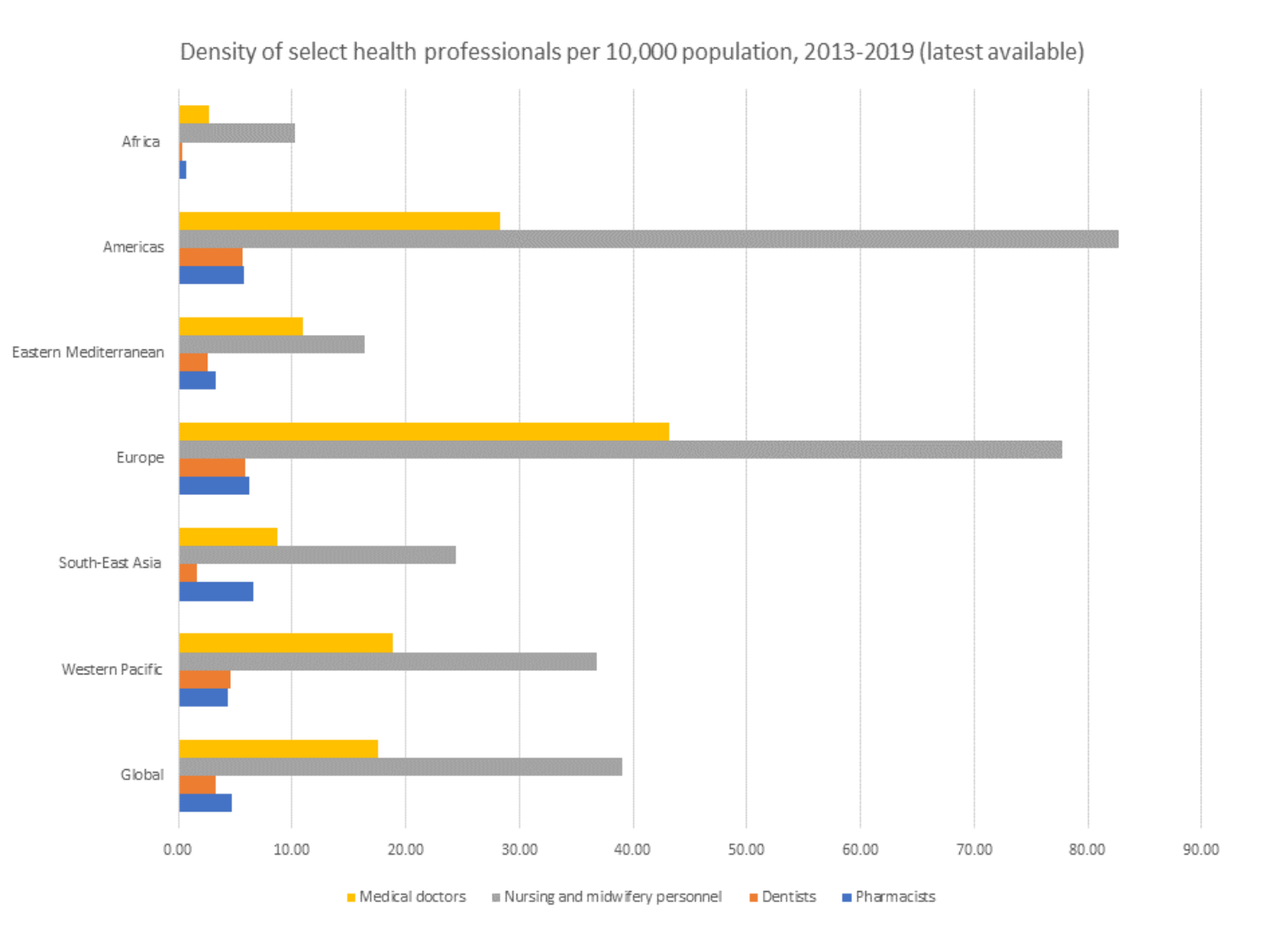#### Density of select health professionals per 10,000 population, 2013-2019 (latest available)



Medical doctors **B** Nursing and midwifery personnel Pharmacists **Dentists**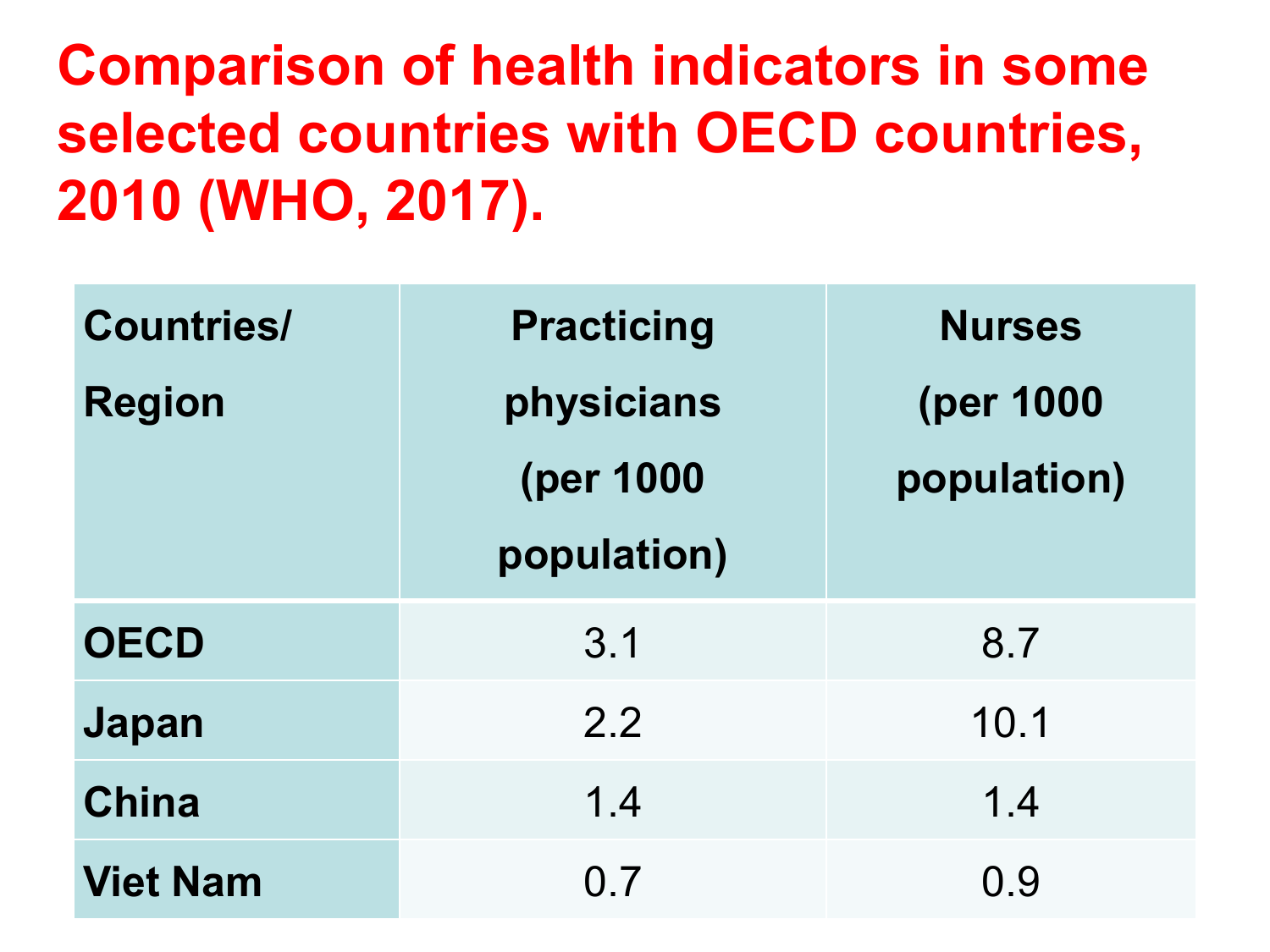**Comparison of health indicators in some selected countries with OECD countries, 2010 (WHO, 2017).** 

| <b>Countries/</b> | <b>Practicing</b> | <b>Nurses</b> |
|-------------------|-------------------|---------------|
| <b>Region</b>     | physicians        | (per 1000     |
|                   | (per 1000         | population)   |
|                   | population)       |               |
| <b>OECD</b>       | 3.1               | 8.7           |
| Japan             | 2.2               | 10.1          |
| <b>China</b>      | 1.4               | 1.4           |
| <b>Viet Nam</b>   | 0 <sub>7</sub>    | 0.9           |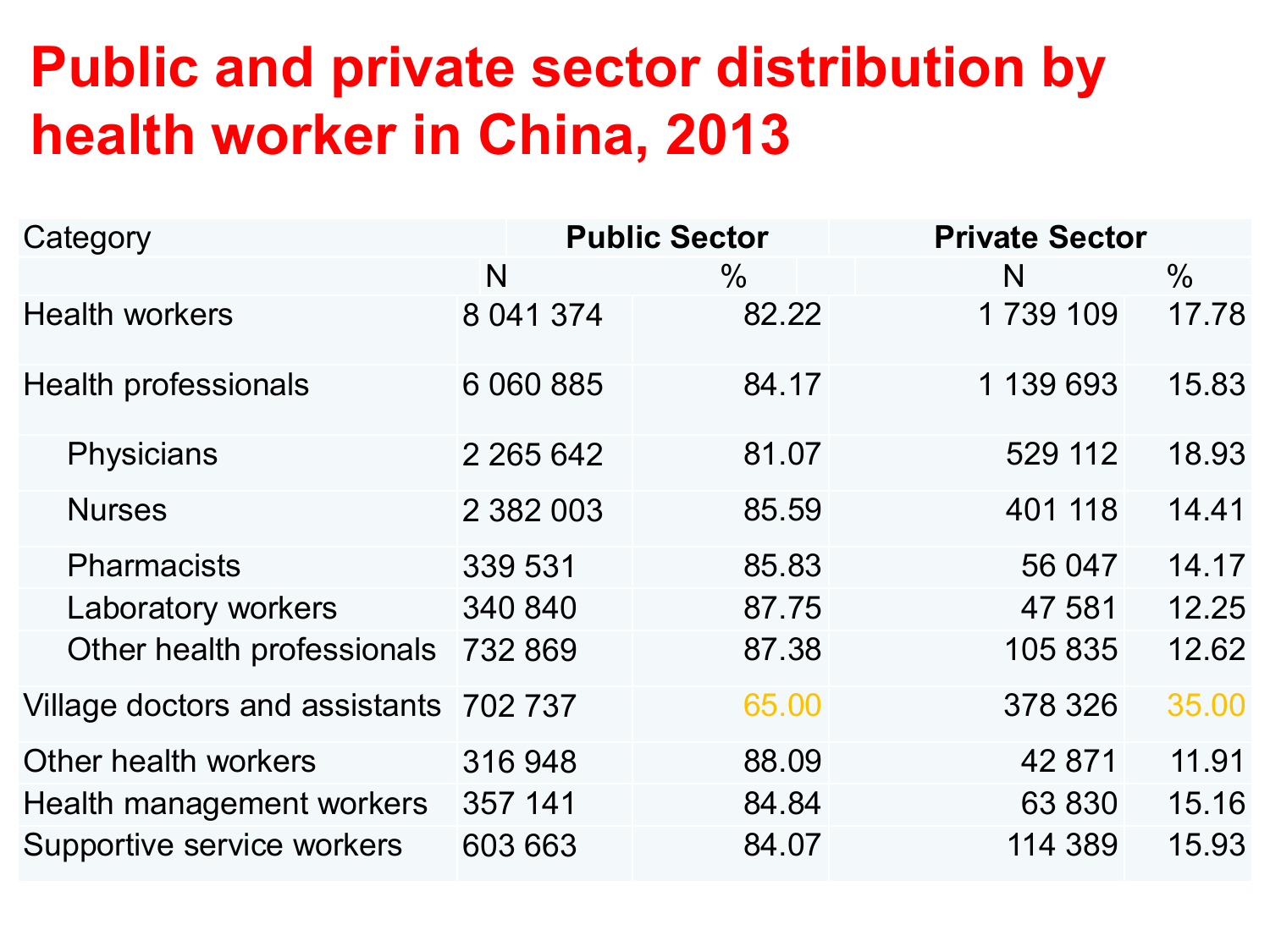#### **Public and private sector distribution by health worker in China, 2013**

| Category                               | <b>Public Sector</b> |               | <b>Private Sector</b> |       |
|----------------------------------------|----------------------|---------------|-----------------------|-------|
|                                        | N                    | $\frac{0}{0}$ | N                     | $\%$  |
| <b>Health workers</b>                  | 8 041 374            | 82.22         | 1739 109              | 17.78 |
| <b>Health professionals</b>            | 6 060 885            | 84.17         | 1 139 693             | 15.83 |
| <b>Physicians</b>                      | 2 2 6 5 6 4 2        | 81.07         | 529 112               | 18.93 |
| <b>Nurses</b>                          | 2 382 003            | 85.59         | 401 118               | 14.41 |
| <b>Pharmacists</b>                     | 339 531              | 85.83         | 56 047                | 14.17 |
| Laboratory workers                     | 340 840              | 87.75         | 47 581                | 12.25 |
| Other health professionals             | 732 869              | 87.38         | 105 835               | 12.62 |
| Village doctors and assistants 702 737 |                      | 65.00         | 378 326               | 35.00 |
| Other health workers                   | 316 948              | 88.09         | 42 871                | 11.91 |
| Health management workers              | 357 141              | 84.84         | 63 830                | 15.16 |
| Supportive service workers             | 603 663              | 84.07         | 114 389               | 15.93 |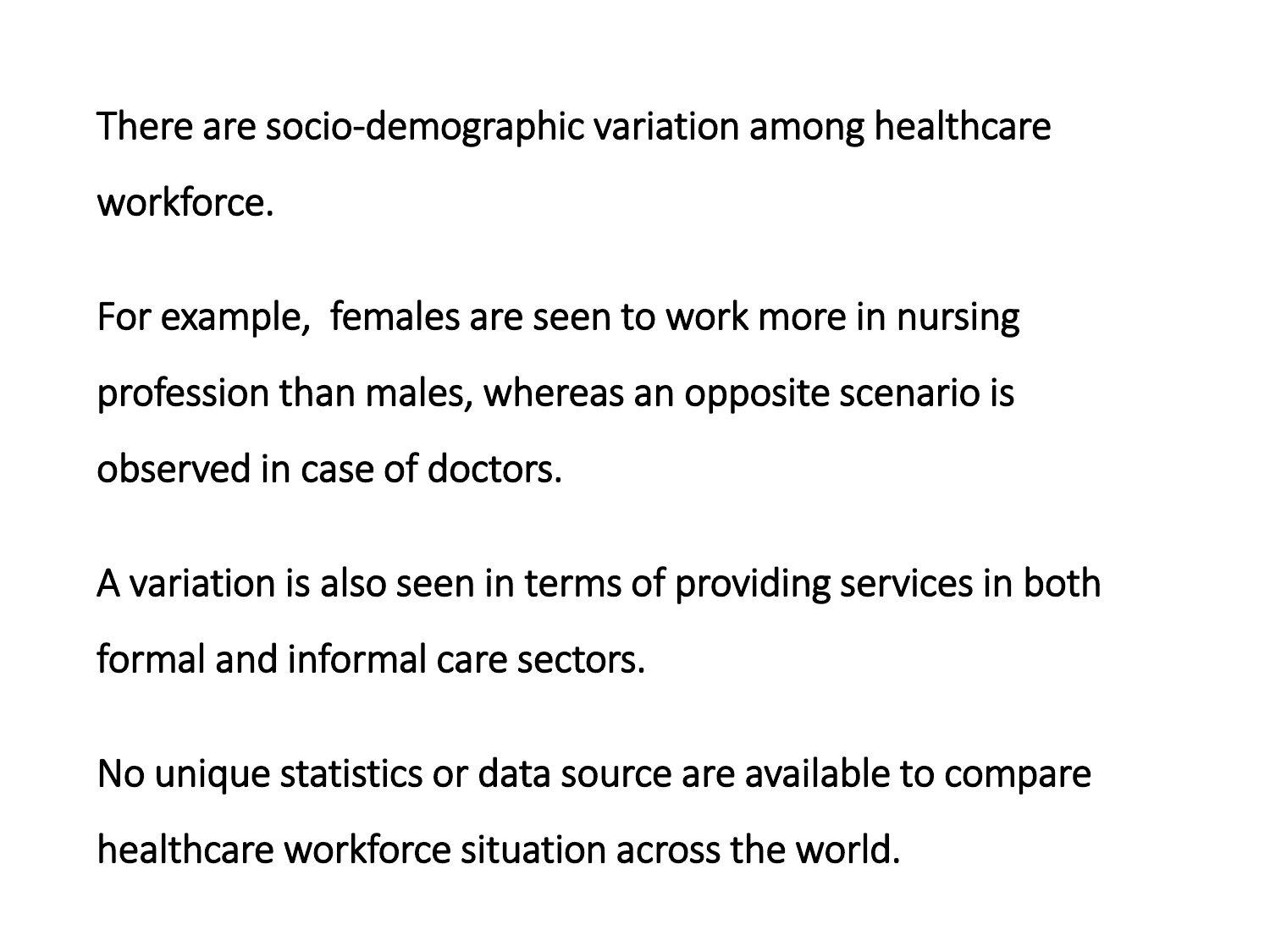There are socio-demographic variation among healthcare workforce.

For example, females are seen to work more in nursing profession than males, whereas an opposite scenario is observed in case of doctors.

A variation is also seen in terms of providing services in both formal and informal care sectors.

No unique statistics or data source are available to compare healthcare workforce situation across the world.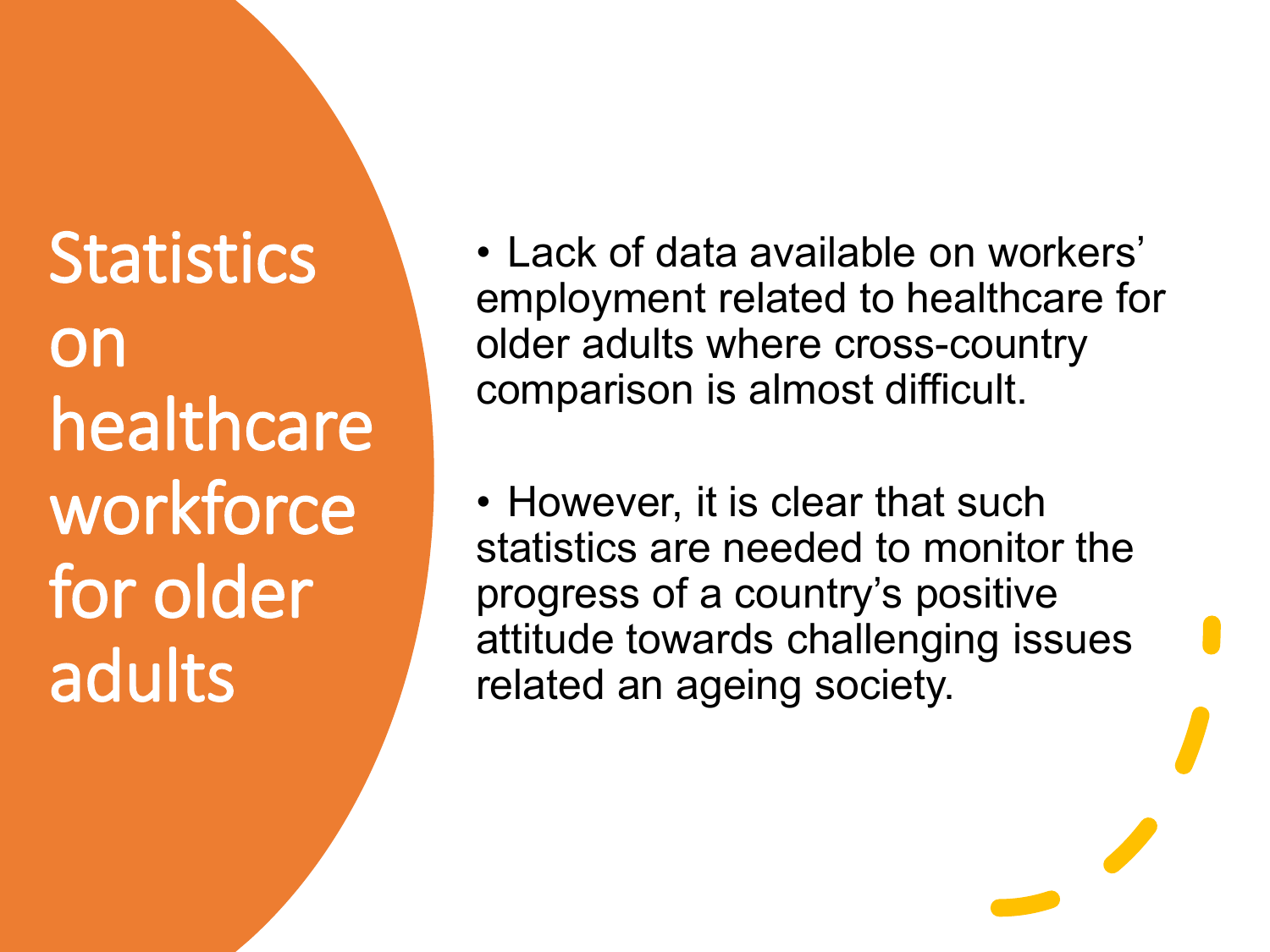**Statistics** on healthcare workforce for older adults

- Lack of data available on workers' employment related to healthcare for older adults where cross-country comparison is almost difficult.
- However, it is clear that such statistics are needed to monitor the progress of a country's positive attitude towards challenging issues related an ageing society.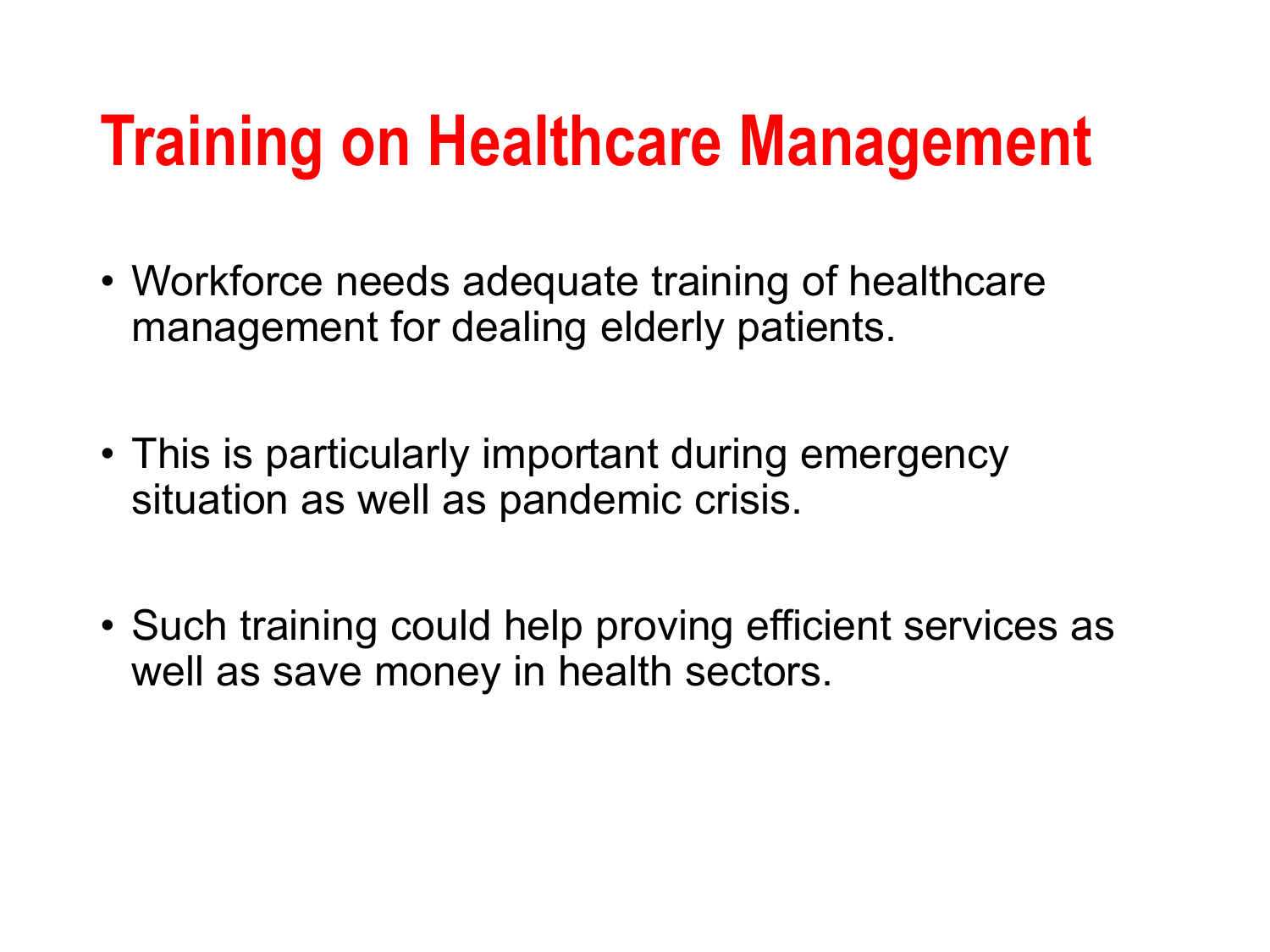## **Training on Healthcare Management**

- Workforce needs adequate training of healthcare management for dealing elderly patients.
- This is particularly important during emergency situation as well as pandemic crisis.
- Such training could help proving efficient services as well as save money in health sectors.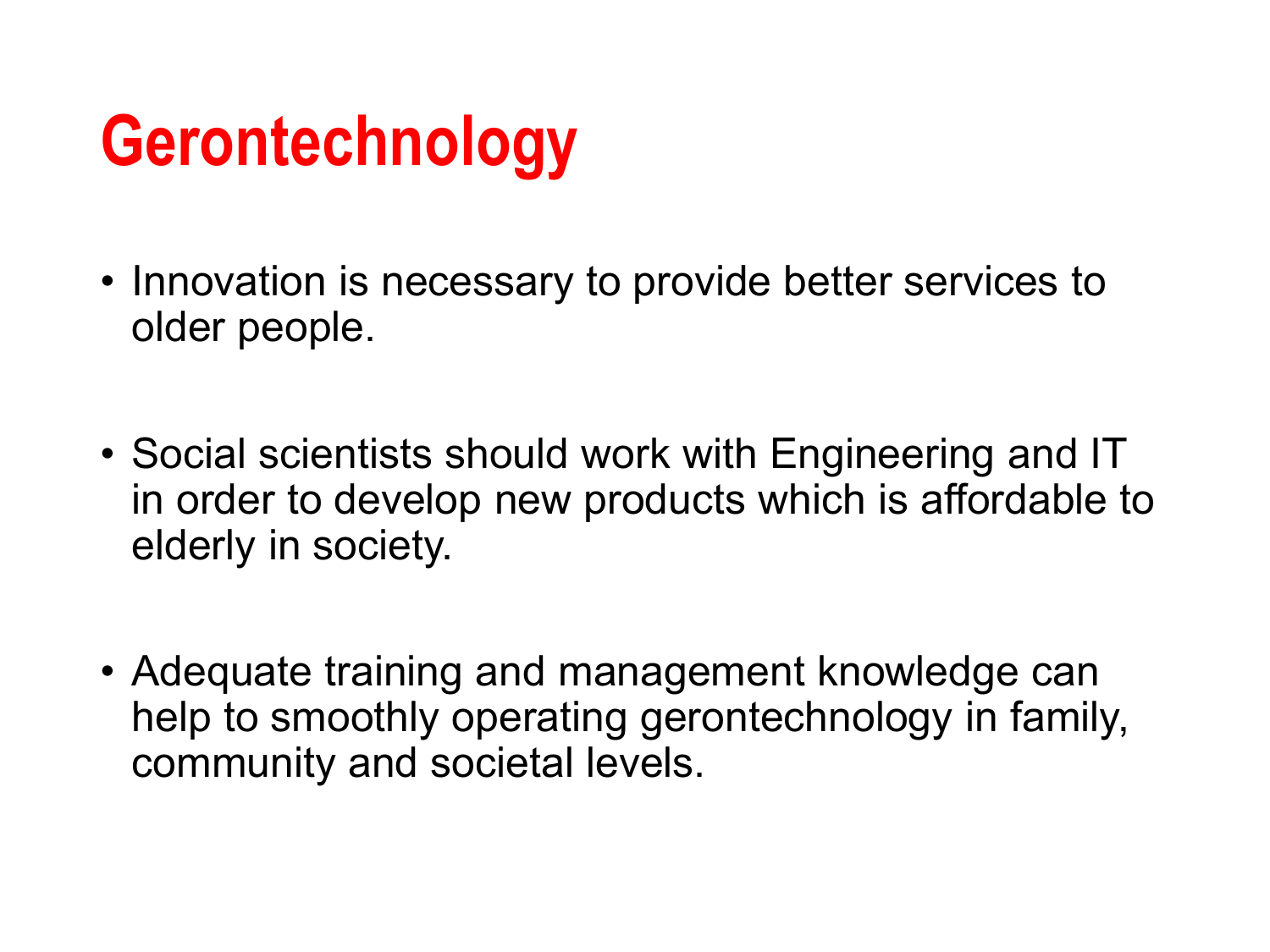## **Gerontechnology**

- Innovation is necessary to provide better services to older people.
- Social scientists should work with Engineering and IT in order to develop new products which is affordable to elderly in society.
- Adequate training and management knowledge can help to smoothly operating gerontechnology in family, community and societal levels.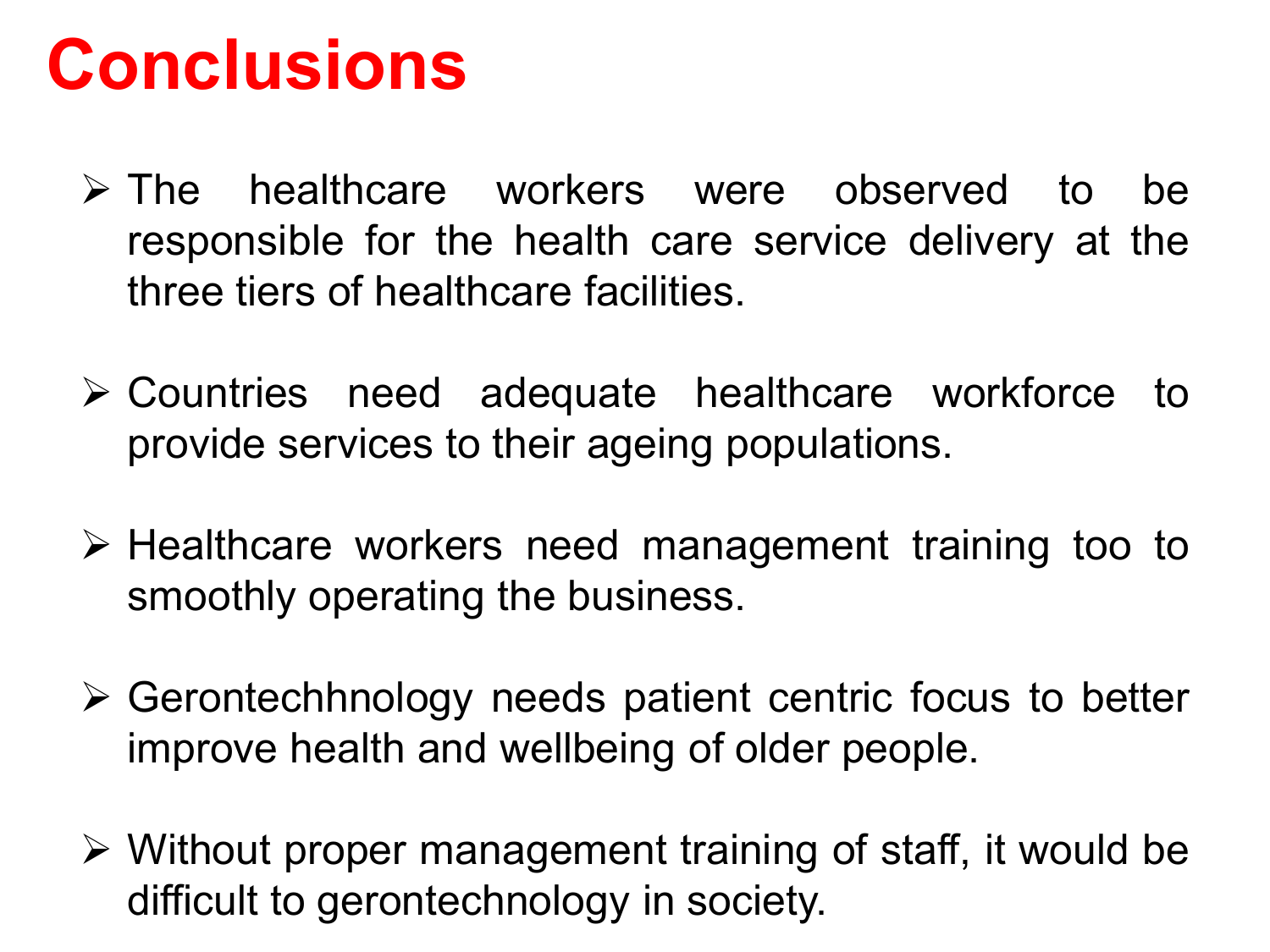#### **Conclusions**

- $\triangleright$  The healthcare workers were observed to be responsible for the health care service delivery at the three tiers of healthcare facilities.
- Countries need adequate healthcare workforce to provide services to their ageing populations.
- $\triangleright$  Healthcare workers need management training too to smoothly operating the business.
- $\triangleright$  Gerontechhnology needs patient centric focus to better improve health and wellbeing of older people.
- $\triangleright$  Without proper management training of staff, it would be difficult to gerontechnology in society.